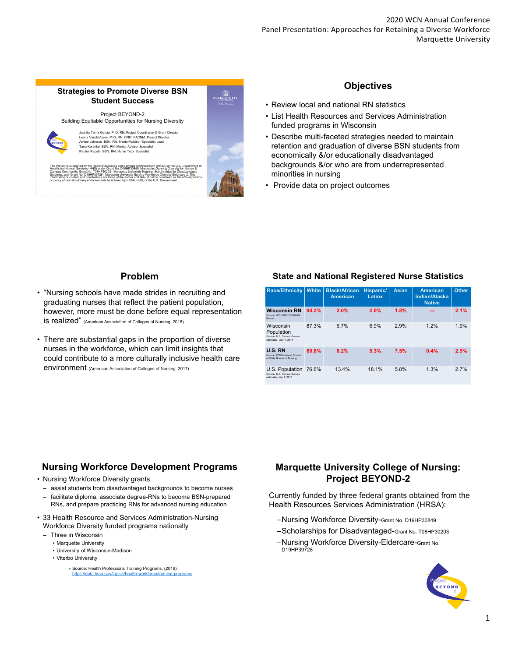## **Strategies to Promote Diverse BSN Student Success**



Juanita Terrie Garcia, PhD, RN, Project Coordinator & Grant Director Leona VandeVusse, PhD, RN, CNM, FACNM, Project Director Amber Johnson, BSN, RN, Mentor/Advisor Specialist Lead Tana Karenke, BSN, RN, Mentor Advisor Specialist Rachel Rapala, BSN, RN, Nurse Tutor Specialist

The Project is supported by the Health Resources and Services Administration (HRSA) of the U.S. Department of<br>Health and Human Services (HRS) under Grant No. D19HP30849, Marquette: Growing Diversity for Nurses &<br>Campus Co



## **Objectives**

- Review local and national RN statistics
- List Health Resources and Services Administration funded programs in Wisconsin
- Describe multi-faceted strategies needed to maintain retention and graduation of diverse BSN students from economically &/or educationally disadvantaged backgrounds &/or who are from underrepresented minorities in nursing
- Provide data on project outcomes

# **Problem**

- "Nursing schools have made strides in recruiting and graduating nurses that reflect the patient population, however, more must be done before equal representation is realized" (American Association of Colleges of Nursing, 2018)
- There are substantial gaps in the proportion of diverse nurses in the workforce, which can limit insights that could contribute to a more culturally inclusive health care environment (American Association of Colleges of Nursing, 2017)

# **State and National Registered Nurse Statistics**

| <b>Race/Ethnicity</b>                                                           | <b>White</b> | <b>Black/African</b><br><b>American</b> | <b>Hispanic/</b><br>Latinx | <b>Asian</b> | <b>American</b><br>Indian/Alaska<br><b>Native</b> | <b>Other</b> |
|---------------------------------------------------------------------------------|--------------|-----------------------------------------|----------------------------|--------------|---------------------------------------------------|--------------|
| <b>Wisconsin RN</b><br>Source: WCN DWD 2018 RN<br>Report                        | 94.2%        | 2.0%                                    | 2.0%                       | 1.8%         |                                                   | 2.1%         |
| Wisconsin<br>Population<br>Source: U.S. Census Bureau<br>estimates July 1, 2018 | 87.3%        | 6.7%                                    | 6.9%                       | 2.9%         | 12%                                               | 1.9%         |
| <b>U.S. RN</b><br>Source: 2018 National Council<br>of State Boards of Nursing   | 80.8%        | 6.2%                                    | 5.3%                       | 7.5%         | 0.4%                                              | 2.9%         |
| U.S. Population<br>Source: U.S. Census Bureau<br>estimates July 1, 2018         | 76.6%        | 13.4%                                   | 18.1%                      | 5.8%         | 1.3%                                              | 2.7%         |

# **Nursing Workforce Development Programs**

- Nursing Workforce Diversity grants
- assist students from disadvantaged backgrounds to become nurses – facilitate diploma, associate degree-RNs to become BSN-prepared
- RNs, and prepare practicing RNs for advanced nursing education
- 33 Health Resource and Services Administration-Nursing Workforce Diversity funded programs nationally
	- Three in Wisconsin
		- Marquette University
		- University of Wisconsin-Madison
		- Viterbo University
			- » Source: Health Professions Training Programs. (2019). https://data.hrsa.g

# **Marquette University College of Nursing: Project BEYOND-2**

Currently funded by three federal grants obtained from the Health Resources Services Administration (HRSA):

- –Nursing Workforce Diversity-Grant No. D19HP30849
- –Scholarships for Disadvantaged-Grant No. T08HP30203
- –Nursing Workforce Diversity-Eldercare-Grant No. D19HP39728

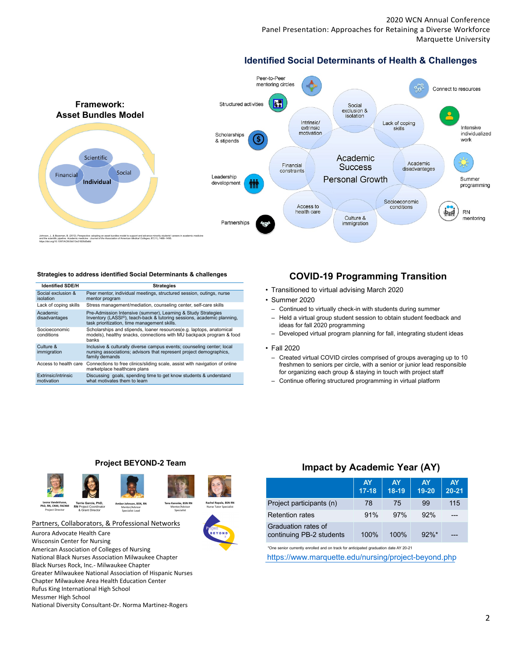2020 WCN Annual Conference Panel Presentation: Approaches for Retaining a Diverse Workforce Marquette University

# **Identified Social Determinants of Health & Challenges**



#### **Strategies to address identified Social Determinants & challenges**

| <b>Identified SDE/H</b>           | <b>Strategies</b>                                                                                                                                                                                    |
|-----------------------------------|------------------------------------------------------------------------------------------------------------------------------------------------------------------------------------------------------|
| Social exclusion &<br>isolation   | Peer mentor, individual meetings, structured session, outings, nurse<br>mentor program                                                                                                               |
| Lack of coping skills             | Stress management/mediation, counseling center, self-care skills                                                                                                                                     |
| Academic<br>disadvantages         | Pre-Admission Intensive (summer), Learning & Study Strategies<br>Inventory (LASSI <sup>®</sup> ), teach-back & tutoring sessions, academic planning,<br>task prioritization, time management skills. |
| Socioeconomic<br>conditions       | Scholarships and stipends, loaner resources(e.g. laptops, anatomical<br>models), healthy snacks, connections with MU backpack program & food<br>banks                                                |
| Culture &<br>immigration          | Inclusive & culturally diverse campus events; counseling center; local<br>nursing associations; advisors that represent project demographics,<br>family demands                                      |
| Access to health care             | Connections to free clinics/sliding scale, assist with navigation of online<br>marketplace healthcare plans                                                                                          |
| Extrinsic/intrinsic<br>motivation | Discussing goals, spending time to get know students & understand<br>what motivates them to learn                                                                                                    |

## **COVID-19 Programming Transition**

- Transitioned to virtual advising March 2020
- Summer 2020
	- Continued to virtually check-in with students during summer
	- Held a virtual group student session to obtain student feedback and ideas for fall 2020 programming
	- Developed virtual program planning for fall, integrating student ideas

#### • Fall 2020

- Created virtual COVID circles comprised of groups averaging up to 10 freshmen to seniors per circle, with a senior or junior lead responsible for organizing each group & staying in touch with project staff
- Continue offering structured programming in virtual platform

### **Project BEYOND-2 Team**



Specialist Lead



Specialist

#### Partners, Collaborators, & Professional Networks

& Grant Director

Project Director

Aurora Advocate Health Care Wisconsin Center for Nursing American Association of Colleges of Nursing National Black Nurses Association Milwaukee Chapter Black Nurses Rock, Inc.- Milwaukee Chapter Greater Milwaukee National Association of Hispanic Nurses Chapter Milwaukee Area Health Education Center Rufus King International High School Messmer High School National Diversity Consultant-Dr. Norma Martinez-Rogers

## **Impact by Academic Year (AY)**

|                                                 | <b>AY</b><br>$17 - 18$ | <b>AY</b><br>18-19 | <b>AY</b><br>19-20 | <b>AY</b><br>$20 - 21$ |
|-------------------------------------------------|------------------------|--------------------|--------------------|------------------------|
| Project participants (n)                        | 78                     | 75                 | 99                 | 115                    |
| <b>Refention rates</b>                          | 91%                    | 97%                | 92%                |                        |
| Graduation rates of<br>continuing PB-2 students | 100%                   | 100%               | $92\%$ *           |                        |

\*One senior currently enrolled and on track for anticipated graduation date AY 20-21

https://www.marquette.edu/nursing/project-beyond.php